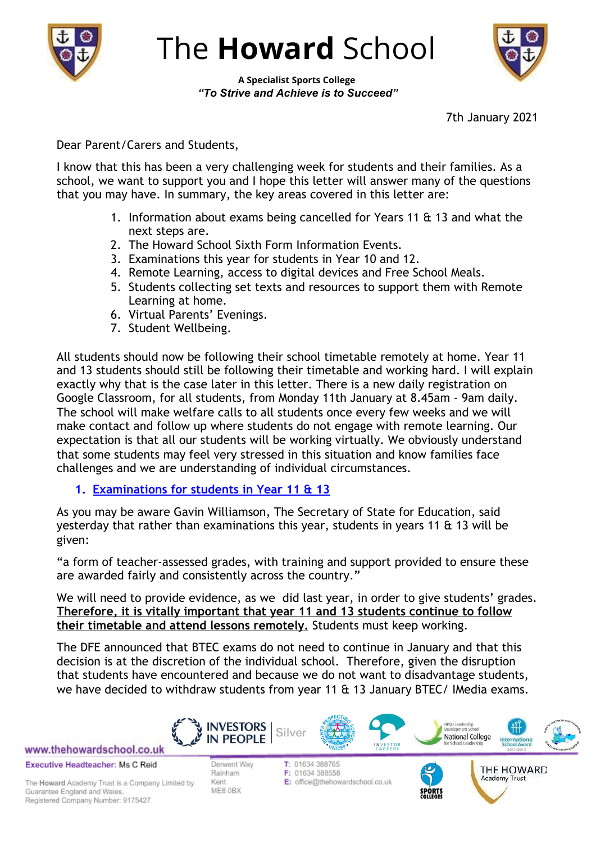

The **Howard** School

**A Specialist Sports College** *"To Strive and Achieve is to Succeed"*

7th January 2021

Dear Parent/Carers and Students,

I know that this has been a very challenging week for students and their families. As a school, we want to support you and I hope this letter will answer many of the questions that you may have. In summary, the key areas covered in this letter are:

- 1. Information about exams being cancelled for Years 11 & 13 and what the next steps are.
- 2. The Howard School Sixth Form Information Events.
- 3. Examinations this year for students in Year 10 and 12.
- 4. Remote Learning, access to digital devices and Free School Meals.
- 5. Students collecting set texts and resources to support them with Remote Learning at home.
- 6. Virtual Parents' Evenings.
- 7. Student Wellbeing.

All students should now be following their school timetable remotely at home. Year 11 and 13 students should still be following their timetable and working hard. I will explain exactly why that is the case later in this letter. There is a new daily registration on Google Classroom, for all students, from Monday 11th January at 8.45am - 9am daily. The school will make welfare calls to all students once every few weeks and we will make contact and follow up where students do not engage with remote learning. Our expectation is that all our students will be working virtually. We obviously understand that some students may feel very stressed in this situation and know families face challenges and we are understanding of individual circumstances.

**1. Examinations for students in Year 11 & 13**

As you may be aware Gavin Williamson, The Secretary of State for Education, said yesterday that rather than examinations this year, students in years 11 & 13 will be given:

"a form of teacher-assessed grades, with training and support provided to ensure these are awarded fairly and consistently across the country."

We will need to provide evidence, as we did last year, in order to give students' grades. **Therefore, it is vitally important that year 11 and 13 students continue to follow their timetable and attend lessons remotely.** Students must keep working.

The DFE announced that BTEC exams do not need to continue in January and that this decision is at the discretion of the individual school. Therefore, given the disruption that students have encountered and because we do not want to disadvantage students, we have decided to withdraw students from year 11 & 13 January BTEC/ IMedia exams.

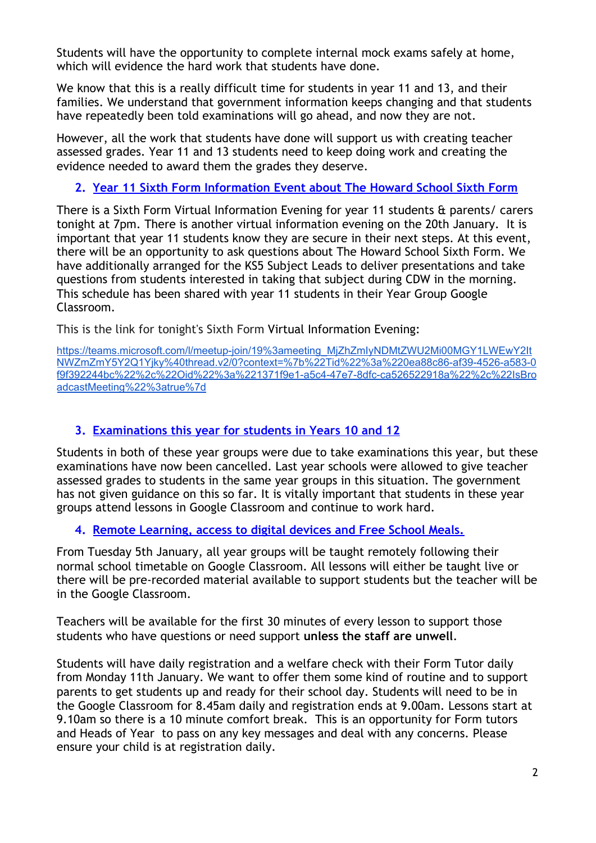Students will have the opportunity to complete internal mock exams safely at home, which will evidence the hard work that students have done.

We know that this is a really difficult time for students in year 11 and 13, and their families. We understand that government information keeps changing and that students have repeatedly been told examinations will go ahead, and now they are not.

However, all the work that students have done will support us with creating teacher assessed grades. Year 11 and 13 students need to keep doing work and creating the evidence needed to award them the grades they deserve.

# **2. Year 11 Sixth Form Information Event about The Howard School Sixth Form**

There is a Sixth Form Virtual Information Evening for year 11 students & parents/ carers tonight at 7pm. There is another virtual information evening on the 20th January. It is important that year 11 students know they are secure in their next steps. At this event, there will be an opportunity to ask questions about The Howard School Sixth Form. We have additionally arranged for the KS5 Subject Leads to deliver presentations and take questions from students interested in taking that subject during CDW in the morning. This schedule has been shared with year 11 students in their Year Group Google Classroom.

This is the link for tonight's Sixth Form Virtual Information Evening:

[https://teams.microsoft.com/l/meetup-join/19%3ameeting\\_MjZhZmIyNDMtZWU2Mi00MGY1LWEwY2It](https://teams.microsoft.com/l/meetup-join/19%3ameeting_MjZhZmIyNDMtZWU2Mi00MGY1LWEwY2ItNWZmZmY5Y2Q1Yjky%40thread.v2/0?context=%7b%22Tid%22%3a%220ea88c86-af39-4526-a583-0f9f392244bc%22%2c%22Oid%22%3a%221371f9e1-a5c4-47e7-8dfc-ca526522918a%22%2c%22IsBroadcastMeeting%22%3atrue%7d) [NWZmZmY5Y2Q1Yjky%40thread.v2/0?context=%7b%22Tid%22%3a%220ea88c86-af39-4526-a583-0](https://teams.microsoft.com/l/meetup-join/19%3ameeting_MjZhZmIyNDMtZWU2Mi00MGY1LWEwY2ItNWZmZmY5Y2Q1Yjky%40thread.v2/0?context=%7b%22Tid%22%3a%220ea88c86-af39-4526-a583-0f9f392244bc%22%2c%22Oid%22%3a%221371f9e1-a5c4-47e7-8dfc-ca526522918a%22%2c%22IsBroadcastMeeting%22%3atrue%7d) [f9f392244bc%22%2c%22Oid%22%3a%221371f9e1-a5c4-47e7-8dfc-ca526522918a%22%2c%22IsBro](https://teams.microsoft.com/l/meetup-join/19%3ameeting_MjZhZmIyNDMtZWU2Mi00MGY1LWEwY2ItNWZmZmY5Y2Q1Yjky%40thread.v2/0?context=%7b%22Tid%22%3a%220ea88c86-af39-4526-a583-0f9f392244bc%22%2c%22Oid%22%3a%221371f9e1-a5c4-47e7-8dfc-ca526522918a%22%2c%22IsBroadcastMeeting%22%3atrue%7d) [adcastMeeting%22%3atrue%7d](https://teams.microsoft.com/l/meetup-join/19%3ameeting_MjZhZmIyNDMtZWU2Mi00MGY1LWEwY2ItNWZmZmY5Y2Q1Yjky%40thread.v2/0?context=%7b%22Tid%22%3a%220ea88c86-af39-4526-a583-0f9f392244bc%22%2c%22Oid%22%3a%221371f9e1-a5c4-47e7-8dfc-ca526522918a%22%2c%22IsBroadcastMeeting%22%3atrue%7d)

## **3. Examinations this year for students in Years 10 and 12**

Students in both of these year groups were due to take examinations this year, but these examinations have now been cancelled. Last year schools were allowed to give teacher assessed grades to students in the same year groups in this situation. The government has not given guidance on this so far. It is vitally important that students in these year groups attend lessons in Google Classroom and continue to work hard.

## **4. Remote Learning, access to digital devices and Free School Meals.**

From Tuesday 5th January, all year groups will be taught remotely following their normal school timetable on Google Classroom. All lessons will either be taught live or there will be pre-recorded material available to support students but the teacher will be in the Google Classroom.

Teachers will be available for the first 30 minutes of every lesson to support those students who have questions or need support **unless the staff are unwell**.

Students will have daily registration and a welfare check with their Form Tutor daily from Monday 11th January. We want to offer them some kind of routine and to support parents to get students up and ready for their school day. Students will need to be in the Google Classroom for 8.45am daily and registration ends at 9.00am. Lessons start at 9.10am so there is a 10 minute comfort break. This is an opportunity for Form tutors and Heads of Year to pass on any key messages and deal with any concerns. Please ensure your child is at registration daily.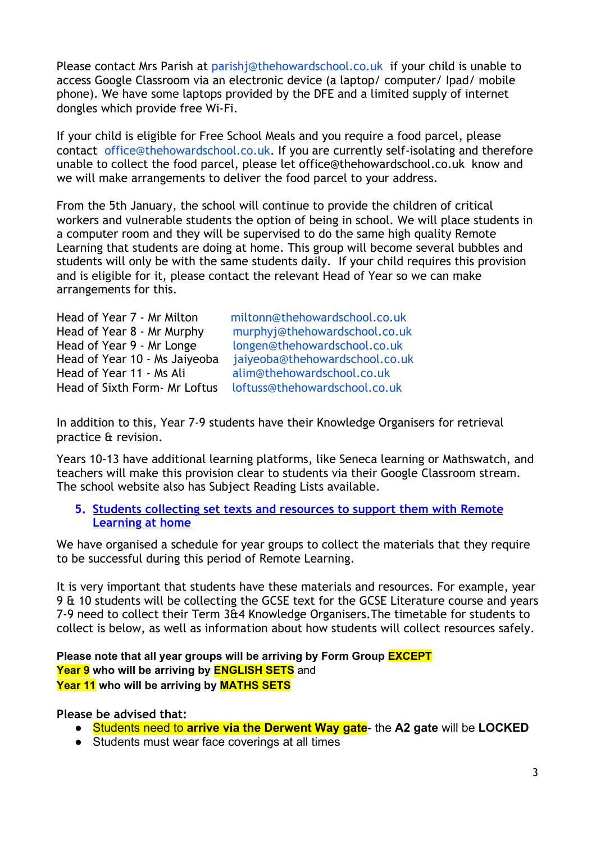Please contact Mrs Parish at [parishj@thehowardschool.co.uk](mailto:parishj@thehowardschool.co.uk) if your child is unable to access Google Classroom via an electronic device (a laptop/ computer/ Ipad/ mobile phone). We have some laptops provided by the DFE and a limited supply of internet dongles which provide free Wi-Fi.

If your child is eligible for Free School Meals and you require a food parcel, please contact [office@thehowardschool.co.uk](mailto:office@thehowardschool.co.uk). If you are currently self-isolating and therefore unable to collect the food parcel, please let office@thehowardschool.co.uk know and we will make arrangements to deliver the food parcel to your address.

From the 5th January, the school will continue to provide the children of critical workers and vulnerable students the option of being in school. We will place students in a computer room and they will be supervised to do the same high quality Remote Learning that students are doing at home. This group will become several bubbles and students will only be with the same students daily. If your child requires this provision and is eligible for it, please contact the relevant Head of Year so we can make arrangements for this.

| Head of Year 7 - Mr Milton    | miltonn@thehowardschool.co.uk  |
|-------------------------------|--------------------------------|
| Head of Year 8 - Mr Murphy    | murphyj@thehowardschool.co.uk  |
| Head of Year 9 - Mr Longe     | longen@thehowardschool.co.uk   |
| Head of Year 10 - Ms Jaiyeoba | jaiyeoba@thehowardschool.co.uk |
| Head of Year 11 - Ms Ali      | alim@thehowardschool.co.uk     |
| Head of Sixth Form- Mr Loftus | loftuss@thehowardschool.co.uk  |

In addition to this, Year 7-9 students have their Knowledge Organisers for retrieval practice & revision.

Years 10-13 have additional learning platforms, like Seneca learning or Mathswatch, and teachers will make this provision clear to students via their Google Classroom stream. The school website also has Subject Reading Lists available.

**5. Students collecting set texts and resources to support them with Remote Learning at home**

We have organised a schedule for year groups to collect the materials that they require to be successful during this period of Remote Learning.

It is very important that students have these materials and resources. For example, year 9 & 10 students will be collecting the GCSE text for the GCSE Literature course and years 7-9 need to collect their Term 3&4 Knowledge Organisers.The timetable for students to collect is below, as well as information about how students will collect resources safely.

**Please note that all year groups will be arriving by Form Group EXCEPT Year 9 who will be arriving by ENGLISH SETS** and **Year 11 who will be arriving by MATHS SETS**

**Please be advised that:**

- Students need to **arrive via the Derwent Way gate** the **A2 gate** will be **LOCKED**
- Students must wear face coverings at all times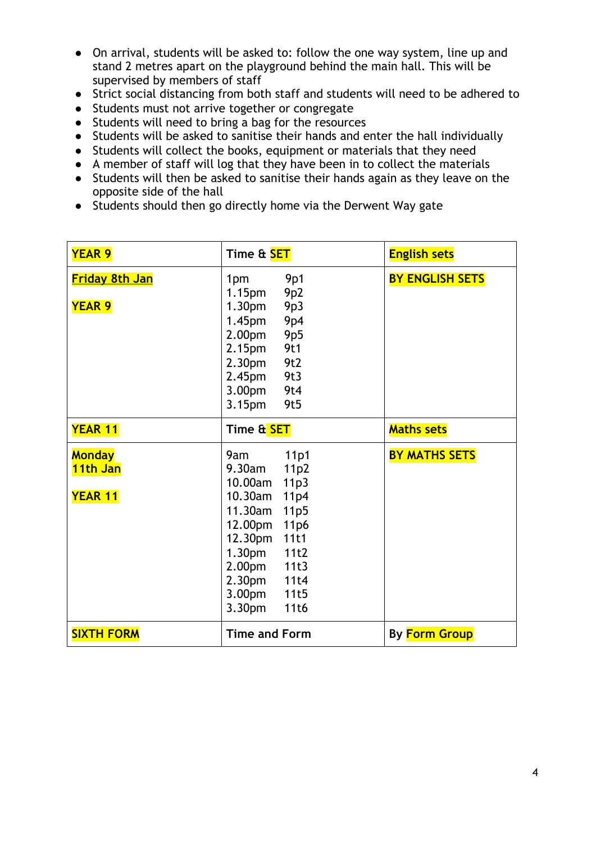- On arrival, students will be asked to: follow the one way system, line up and stand 2 metres apart on the playground behind the main hall. This will be supervised by members of staff
- Strict social distancing from both staff and students will need to be adhered to
- Students must not arrive together or congregate
- Students will need to bring a bag for the resources
- Students will be asked to sanitise their hands and enter the hall individually
- Students will collect the books, equipment or materials that they need
- A member of staff will log that they have been in to collect the materials
- Students will then be asked to sanitise their hands again as they leave on the opposite side of the hall
- Students should then go directly home via the Derwent Way gate

| <b>YEAR 9</b>                               | Time & <b>SET</b>                                                                                                                                                                                                                                                                               | <b>English sets</b>    |
|---------------------------------------------|-------------------------------------------------------------------------------------------------------------------------------------------------------------------------------------------------------------------------------------------------------------------------------------------------|------------------------|
| <u>Friday 8th Jan</u>                       | 9p1<br>1pm<br>1.15 <sub>pm</sub><br>9p2                                                                                                                                                                                                                                                         | <b>BY ENGLISH SETS</b> |
| <b>YEAR 9</b>                               | 9p3<br>1.30 <sub>pm</sub><br>9p4<br>1.45 <sub>pm</sub><br>2.00 <sub>pm</sub><br><b>9p5</b><br>9t1<br>2.15 <sub>pm</sub><br>9t2<br>2.30 <sub>pm</sub><br>9t3<br>2.45 <sub>pm</sub><br>9t4<br>3.00pm<br>9t5<br>3.15 <sub>pm</sub>                                                                 |                        |
| <b>YEAR 11</b>                              | Time & <mark>SET</mark>                                                                                                                                                                                                                                                                         | <b>Maths sets</b>      |
| <b>Monday</b><br>11th Jan<br><b>YEAR 11</b> | 11p1<br>9am<br>9.30am<br>11p2<br>10.00am<br>11p3<br>10.30am<br>11p4<br>11.30am<br>11p5<br>12.00pm<br>11 <sub>p</sub> 6<br>12.30pm<br>11t1<br>1.30 <sub>pm</sub><br>11t2<br>11t3<br>2.00 <sub>pm</sub><br>2.30 <sub>pm</sub><br>11t4<br>3.00 <sub>pm</sub><br>11t5<br>3.30 <sub>pm</sub><br>11t6 | <b>BY MATHS SETS</b>   |
| <b>SIXTH FORM</b>                           | <b>Time and Form</b>                                                                                                                                                                                                                                                                            | By Form Group          |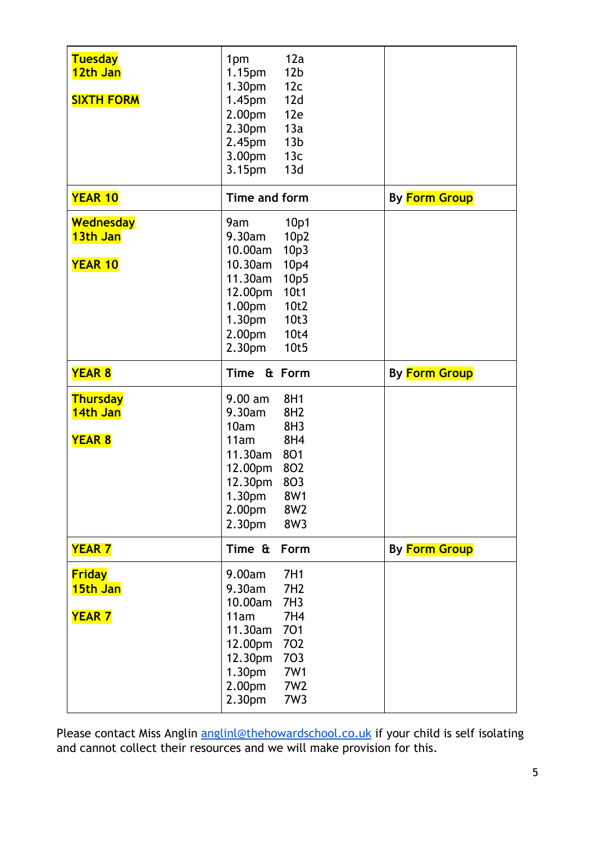| <b>Tuesday</b><br>12th Jan<br><b>SIXTH FORM</b> | 12a<br>1pm<br>12 <sub>b</sub><br>1.15pm<br>12c<br>1.30 <sub>pm</sub><br>12d<br>1.45 <sub>pm</sub><br>12e<br>2.00pm<br>13a<br>2.30pm<br>13 <sub>b</sub><br>2.45pm<br>13c<br>3.00pm<br>13d<br>3.15pm                         |                      |
|-------------------------------------------------|----------------------------------------------------------------------------------------------------------------------------------------------------------------------------------------------------------------------------|----------------------|
| <b>YEAR 10</b>                                  | Time and form                                                                                                                                                                                                              | <b>By Form Group</b> |
| <b>Wednesday</b><br>13th Jan<br><b>YEAR 10</b>  | 10p1<br>9am<br>9.30am<br>10 <sub>p</sub> 2<br>10.00am<br>10p3<br>10.30am<br>10p4<br>11.30am<br>10p5<br>10t1<br>12.00pm<br>10t2<br>1.00pm<br>10t3<br>1.30pm<br>2.00pm<br>10t4<br>10t5<br>2.30 <sub>pm</sub>                 |                      |
| <b>YEAR 8</b>                                   | Time & Form                                                                                                                                                                                                                | <b>By Form Group</b> |
| <b>Thursday</b><br>14th Jan<br><b>YEAR 8</b>    | 9.00 am<br>8H1<br>9.30am<br>8H2<br>10am<br>8H3<br>8H4<br>11am<br>$11.30$ am<br>801<br>802<br>12.00pm<br>12.30pm<br>803<br>8W1<br>1.30 <sub>pm</sub><br>2.00pm<br>8W <sub>2</sub><br>8W3<br>2.30pm                          |                      |
| <b>YEAR 7</b>                                   | Time &<br>Form                                                                                                                                                                                                             | <b>By Form Group</b> |
| <b>Friday</b><br>15th Jan<br><b>YEAR 7</b>      | 9.00am<br>7H1<br>9.30am<br>7H <sub>2</sub><br>10.00am<br>7H <sub>3</sub><br>11am<br><b>7H4</b><br>11.30am<br>701<br>702<br>12.00pm<br>12.30pm<br>703<br>1.30pm<br><b>7W1</b><br>2.00pm<br>7W <sub>2</sub><br>2.30pm<br>7W3 |                      |

Please contact Miss Anglin [anglinl@thehowardschool.co.uk](mailto:anglinl@thehowardschool.co.uk) if your child is self isolating and cannot collect their resources and we will make provision for this.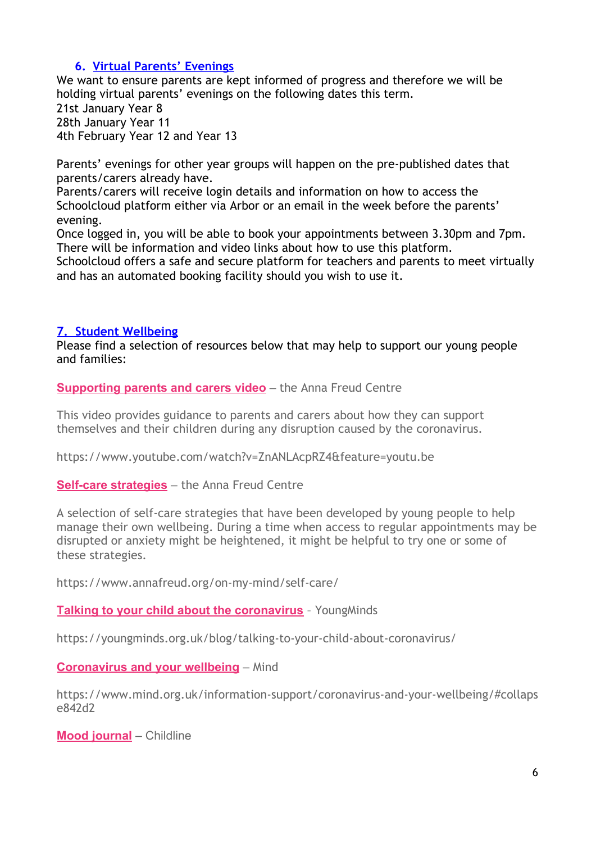## **6. Virtual Parents' Evenings**

We want to ensure parents are kept informed of progress and therefore we will be holding virtual parents' evenings on the following dates this term. 21st January Year 8

28th January Year 11 4th February Year 12 and Year 13

Parents' evenings for other year groups will happen on the pre-published dates that parents/carers already have.

Parents/carers will receive login details and information on how to access the Schoolcloud platform either via Arbor or an email in the week before the parents' evening.

Once logged in, you will be able to book your appointments between 3.30pm and 7pm. There will be information and video links about how to use this platform.

Schoolcloud offers a safe and secure platform for teachers and parents to meet virtually and has an automated booking facility should you wish to use it.

### **7. Student Wellbeing**

Please find a selection of resources below that may help to support our young people and families:

**[Supporting parents and carers video](https://www.youtube.com/watch?v=ZnANLAcpRZ4&feature=youtu.be)** – the Anna Freud Centre

This video provides guidance to parents and carers about how they can support themselves and their children during any disruption caused by the coronavirus.

https://www.youtube.com/watch?v=ZnANLAcpRZ4&feature=youtu.be

**[Self-care strategies](https://www.annafreud.org/on-my-mind/self-care/)** – the Anna Freud Centre

A selection of self-care strategies that have been developed by young people to help manage their own wellbeing. During a time when access to regular appointments may be disrupted or anxiety might be heightened, it might be helpful to try one or some of these strategies.

https://www.annafreud.org/on-my-mind/self-care/

**[Talking to your child about the coronavirus](https://youngminds.org.uk/blog/talking-to-your-child-about-coronavirus/)** - Young Minds

https://youngminds.org.uk/blog/talking-to-your-child-about-coronavirus/

**[Coronavirus and your wellbeing](https://www.mind.org.uk/information-support/coronavirus-and-your-wellbeing/#collapse842d2)** – Mind

https://www.mind.org.uk/information-support/coronavirus-and-your-wellbeing/#collaps e842d2

**[Mood journal](https://www.childline.org.uk/locker/#journal)** – Childline